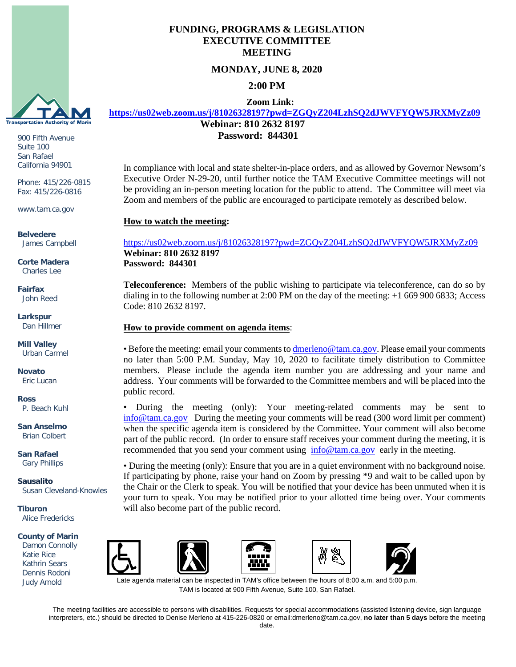

900 Fifth Avenue Suite 100 San Rafael California 94901

Phone: 415/226-0815 Fax: 415/226-0816

www.tam.ca.gov

**Belvedere** James Campbell

**Corte Madera** Charles Lee

**Fairfax** John Reed

**Larkspur** Dan Hillmer

**Mill Valley** Urban Carmel

**Novato** Eric Lucan

**Ross** P. Beach Kuhl

**San Anselmo** Brian Colbert

**San Rafael** Gary Phillips

**Sausalito** Susan Cleveland-Knowles

**Tiburon** Alice Fredericks

#### **County of Marin**

 Dennis Rodoni Damon Connolly Katie Rice Kathrin Sears Judy Arnold



**MONDAY, JUNE 8, 2020**

**2:00 PM**

 **Zoom Link:** 

**<https://us02web.zoom.us/j/81026328197?pwd=ZGQyZ204LzhSQ2dJWVFYQW5JRXMyZz09>**

**Webinar: 810 2632 8197 Password: 844301**

In compliance with local and state shelter-in-place orders, and as allowed by Governor Newsom's Executive Order N-29-20, until further notice the TAM Executive Committee meetings will not be providing an in-person meeting location for the public to attend. The Committee will meet via Zoom and members of the public are encouraged to participate remotely as described below.

### **How to watch the meeting:**

## <https://us02web.zoom.us/j/81026328197?pwd=ZGQyZ204LzhSQ2dJWVFYQW5JRXMyZz09> **Webinar: 810 2632 8197 Password: 844301**

**Teleconference:** Members of the public wishing to participate via teleconference, can do so by dialing in to the following number at 2:00 PM on the day of the meeting: +1 669 900 6833; Access Code: 810 2632 8197.

#### **How to provide comment on agenda items**:

• Before the meeting: email your comments t[o dmerleno@tam.ca.gov.](mailto:dmerleno@tam.ca.gov) Please email your comments no later than 5:00 P.M. Sunday, May 10, 2020 to facilitate timely distribution to Committee members. Please include the agenda item number you are addressing and your name and address. Your comments will be forwarded to the Committee members and will be placed into the public record.

• During the meeting (only): Your meeting-related comments may be sent to [info@tam.ca.gov](mailto:info@tam.ca.gov) During the meeting your comments will be read (300 word limit per comment) when the specific agenda item is considered by the Committee. Your comment will also become part of the public record. (In order to ensure staff receives your comment during the meeting, it is recommended that you send your comment using [info@tam.ca.gov](mailto:info@tam.ca.gov) early in the meeting.

• During the meeting (only): Ensure that you are in a quiet environment with no background noise. If participating by phone, raise your hand on Zoom by pressing \*9 and wait to be called upon by the Chair or the Clerk to speak. You will be notified that your device has been unmuted when it is your turn to speak. You may be notified prior to your allotted time being over. Your comments will also become part of the public record.









ate agenda material can be inspected in TAM's office between the hours of 8:00 a.m. and 5:00 p.m. TAM is located at 900 Fifth Avenue, Suite 100, San Rafael.

The meeting facilities are accessible to persons with disabilities. Requests for special accommodations (assisted listening device, sign language interpreters, etc.) should be directed to Denise Merleno at 415-226-0820 or email:dmerleno@tam.ca.gov, **no later than 5 days** before the meeting